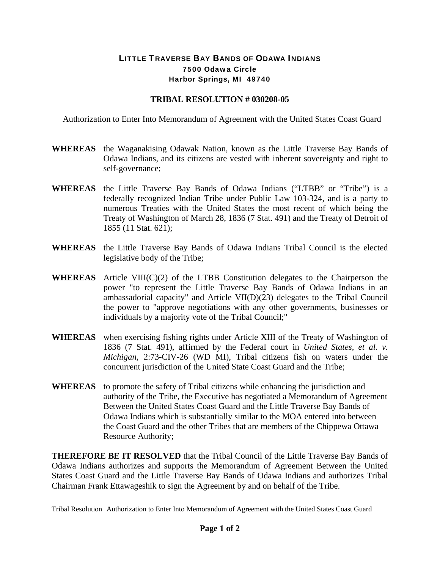## LITTLE TRAVERSE BAY BANDS OF ODAWA INDIANS 7500 Odawa Circle Harbor Springs, MI 49740

## **TRIBAL RESOLUTION # 030208-05**

Authorization to Enter Into Memorandum of Agreement with the United States Coast Guard

- **WHEREAS** the Waganakising Odawak Nation, known as the Little Traverse Bay Bands of Odawa Indians, and its citizens are vested with inherent sovereignty and right to self-governance;
- **WHEREAS** the Little Traverse Bay Bands of Odawa Indians ("LTBB" or "Tribe") is a federally recognized Indian Tribe under Public Law 103-324, and is a party to numerous Treaties with the United States the most recent of which being the Treaty of Washington of March 28, 1836 (7 Stat. 491) and the Treaty of Detroit of 1855 (11 Stat. 621);
- **WHEREAS** the Little Traverse Bay Bands of Odawa Indians Tribal Council is the elected legislative body of the Tribe;
- **WHEREAS** Article VIII(C)(2) of the LTBB Constitution delegates to the Chairperson the power "to represent the Little Traverse Bay Bands of Odawa Indians in an ambassadorial capacity" and Article VII(D)(23) delegates to the Tribal Council the power to "approve negotiations with any other governments, businesses or individuals by a majority vote of the Tribal Council;"
- **WHEREAS** when exercising fishing rights under Article XIII of the Treaty of Washington of 1836 (7 Stat. 491), affirmed by the Federal court in *United States, et al. v. Michigan,* 2:73-CIV-26 (WD MI), Tribal citizens fish on waters under the concurrent jurisdiction of the United State Coast Guard and the Tribe;
- **WHEREAS** to promote the safety of Tribal citizens while enhancing the jurisdiction and authority of the Tribe, the Executive has negotiated a Memorandum of Agreement Between the United States Coast Guard and the Little Traverse Bay Bands of Odawa Indians which is substantially similar to the MOA entered into between the Coast Guard and the other Tribes that are members of the Chippewa Ottawa Resource Authority;

**THEREFORE BE IT RESOLVED** that the Tribal Council of the Little Traverse Bay Bands of Odawa Indians authorizes and supports the Memorandum of Agreement Between the United States Coast Guard and the Little Traverse Bay Bands of Odawa Indians and authorizes Tribal Chairman Frank Ettawageshik to sign the Agreement by and on behalf of the Tribe.

Tribal Resolution Authorization to Enter Into Memorandum of Agreement with the United States Coast Guard